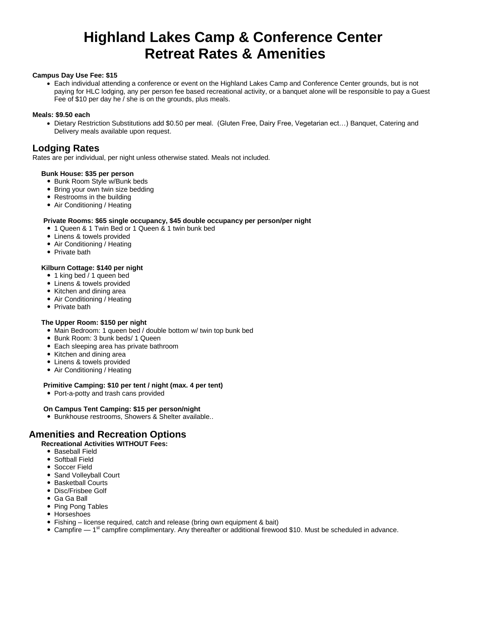# **Highland Lakes Camp & Conference Center Retreat Rates & Amenities**

#### **Campus Day Use Fee: \$15**

 Each individual attending a conference or event on the Highland Lakes Camp and Conference Center grounds, but is not paying for HLC lodging, any per person fee based recreational activity, or a banquet alone will be responsible to pay a Guest Fee of \$10 per day he / she is on the grounds, plus meals.

#### **Meals: \$9.50 each**

 Dietary Restriction Substitutions add \$0.50 per meal. (Gluten Free, Dairy Free, Vegetarian ect…) Banquet, Catering and Delivery meals available upon request.

## **Lodging Rates**

Rates are per individual, per night unless otherwise stated. Meals not included.

#### **Bunk House: \$35 per person**

- Bunk Room Style w/Bunk beds
- Bring your own twin size bedding
- Restrooms in the building
- Air Conditioning / Heating

#### **Private Rooms: \$65 single occupancy, \$45 double occupancy per person/per night**

- 1 Queen & 1 Twin Bed or 1 Queen & 1 twin bunk bed
- Linens & towels provided
- Air Conditioning / Heating
- Private bath

#### **Kilburn Cottage: \$140 per night**

- 1 king bed / 1 queen bed
- Linens & towels provided
- Kitchen and dining area
- Air Conditioning / Heating
- Private bath

#### **The Upper Room: \$150 per night**

- Main Bedroom: 1 queen bed / double bottom w/ twin top bunk bed
- Bunk Room: 3 bunk beds/ 1 Queen
- Each sleeping area has private bathroom
- Kitchen and dining area
- Linens & towels provided
- Air Conditioning / Heating

#### **Primitive Camping: \$10 per tent / night (max. 4 per tent)**

• Port-a-potty and trash cans provided

- **On Campus Tent Camping: \$15 per person/night**
- Bunkhouse restrooms, Showers & Shelter available..

## **Amenities and Recreation Options**

#### **Recreational Activities WITHOUT Fees:**

- Baseball Field
- Softball Field
- Soccer Field
- Sand Volleyball Court
- Basketball Courts
- Disc/Frisbee Golf
- Ga Ga Ball
- Ping Pong Tables
- Horseshoes
- Fishing license required, catch and release (bring own equipment & bait)
- Campfire 1<sup>st</sup> campfire complimentary. Any thereafter or additional firewood \$10. Must be scheduled in advance.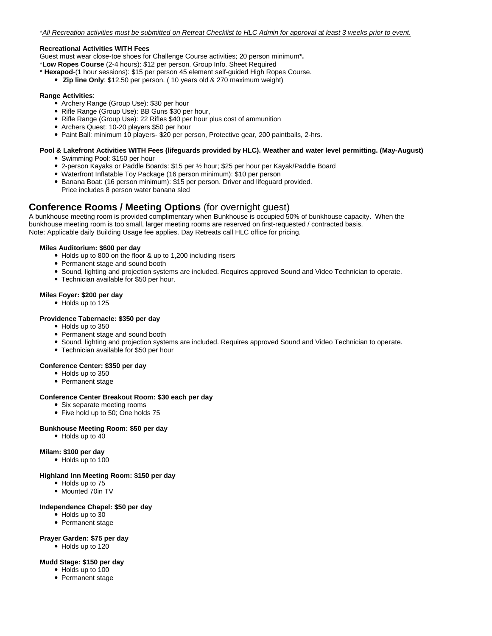#### **Recreational Activities WITH Fees**

Guest must wear close-toe shoes for Challenge Course activities; 20 person minimum**\*.**

\***Low Ropes Course** (2-4 hours): \$12 per person. Group Info. Sheet Required

- \* **Hexapod**-(1 hour sessions): \$15 per person 45 element self-guided High Ropes Course.
	- **Zip line Only**: \$12.50 per person. ( 10 years old & 270 maximum weight)

#### **Range Activities**:

- Archery Range (Group Use): \$30 per hour
- Rifle Range (Group Use): BB Guns \$30 per hour,
- Rifle Range (Group Use): 22 Rifles \$40 per hour plus cost of ammunition
- Archers Quest: 10-20 players \$50 per hour
- Paint Ball: minimum 10 players- \$20 per person, Protective gear, 200 paintballs, 2-hrs.

# **Pool & Lakefront Activities WITH Fees (lifeguards provided by HLC). Weather and water level permitting. (May-August)**

- Swimming Pool: \$150 per hour
- 2-person Kayaks or Paddle Boards: \$15 per ½ hour; \$25 per hour per Kayak/Paddle Board
- Waterfront Inflatable Toy Package (16 person minimum): \$10 per person
- Banana Boat: (16 person minimum): \$15 per person. Driver and lifeguard provided. Price includes 8 person water banana sled

## **Conference Rooms / Meeting Options** (for overnight guest)

A bunkhouse meeting room is provided complimentary when Bunkhouse is occupied 50% of bunkhouse capacity. When the bunkhouse meeting room is too small, larger meeting rooms are reserved on first-requested / contracted basis. Note: Applicable daily Building Usage fee applies. Day Retreats call HLC office for pricing.

#### **Miles Auditorium: \$600 per day**

- Holds up to 800 on the floor & up to 1,200 including risers
- Permanent stage and sound booth
- Sound, lighting and projection systems are included. Requires approved Sound and Video Technician to operate.
- Technician available for \$50 per hour.

#### **Miles Foyer: \$200 per day**

- Holds up to 125
- **Providence Tabernacle: \$350 per day**
	- Holds up to 350
	- Permanent stage and sound booth
	- Sound, lighting and projection systems are included. Requires approved Sound and Video Technician to operate.
	- Technician available for \$50 per hour

#### **Conference Center: \$350 per day**

- Holds up to 350
- Permanent stage

#### **Conference Center Breakout Room: \$30 each per day**

- Six separate meeting rooms
- Five hold up to 50; One holds 75

#### **Bunkhouse Meeting Room: \$50 per day**

• Holds up to 40

#### **Milam: \$100 per day**

Holds up to 100

#### **Highland Inn Meeting Room: \$150 per day**

- Holds up to 75
- Mounted 70in TV

#### **Independence Chapel: \$50 per day**

- Holds up to 30
- Permanent stage

#### **Prayer Garden: \$75 per day**

• Holds up to 120

#### **Mudd Stage: \$150 per day**

- Holds up to 100
- Permanent stage